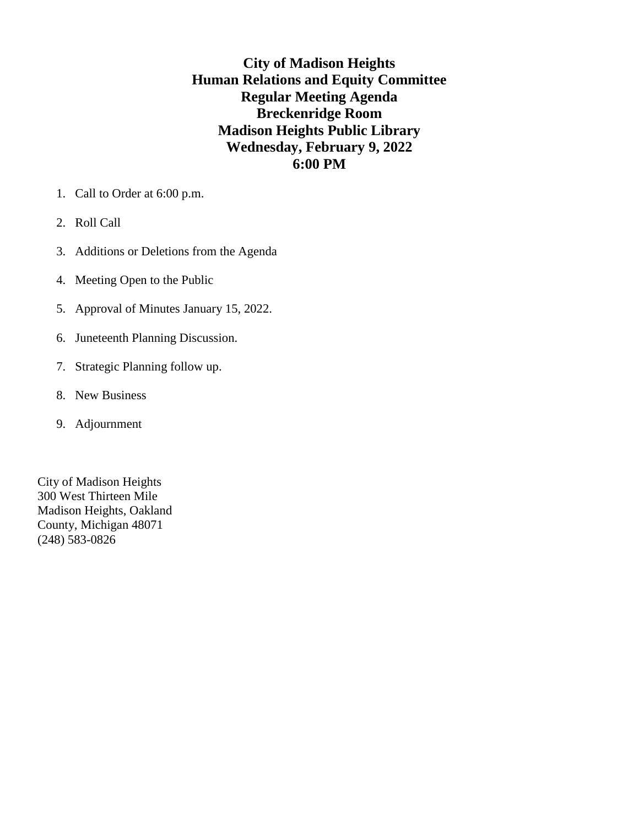**City of Madison Heights Human Relations and Equity Committee Regular Meeting Agenda Breckenridge Room Madison Heights Public Library Wednesday, February 9, 2022 6:00 PM**

- 1. Call to Order at 6:00 p.m.
- 2. Roll Call
- 3. Additions or Deletions from the Agenda
- 4. Meeting Open to the Public
- 5. Approval of Minutes January 15, 2022.
- 6. Juneteenth Planning Discussion.
- 7. Strategic Planning follow up.
- 8. New Business
- 9. Adjournment

City of Madison Heights 300 West Thirteen Mile Madison Heights, Oakland County, Michigan 48071 (248) 583-0826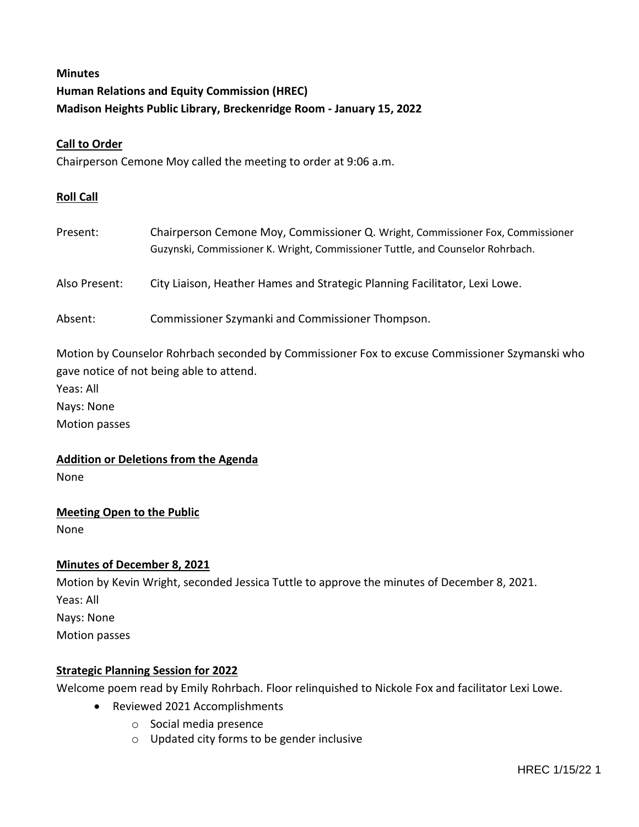# **Minutes Human Relations and Equity Commission (HREC) Madison Heights Public Library, Breckenridge Room - January 15, 2022**

### **Call to Order**

Chairperson Cemone Moy called the meeting to order at 9:06 a.m.

#### **Roll Call**

| Present:      | Chairperson Cemone Moy, Commissioner Q. Wright, Commissioner Fox, Commissioner<br>Guzynski, Commissioner K. Wright, Commissioner Tuttle, and Counselor Rohrbach. |
|---------------|------------------------------------------------------------------------------------------------------------------------------------------------------------------|
| Also Present: | City Liaison, Heather Hames and Strategic Planning Facilitator, Lexi Lowe.                                                                                       |
| Absent:       | Commissioner Szymanki and Commissioner Thompson.                                                                                                                 |

Motion by Counselor Rohrbach seconded by Commissioner Fox to excuse Commissioner Szymanski who gave notice of not being able to attend.

Yeas: All

Nays: None

Motion passes

**Addition or Deletions from the Agenda**

None

**Meeting Open to the Public**

None

## **Minutes of December 8, 2021**

Motion by Kevin Wright, seconded Jessica Tuttle to approve the minutes of December 8, 2021. Yeas: All Nays: None Motion passes

#### **Strategic Planning Session for 2022**

Welcome poem read by Emily Rohrbach. Floor relinquished to Nickole Fox and facilitator Lexi Lowe.

- Reviewed 2021 Accomplishments
	- o Social media presence
	- o Updated city forms to be gender inclusive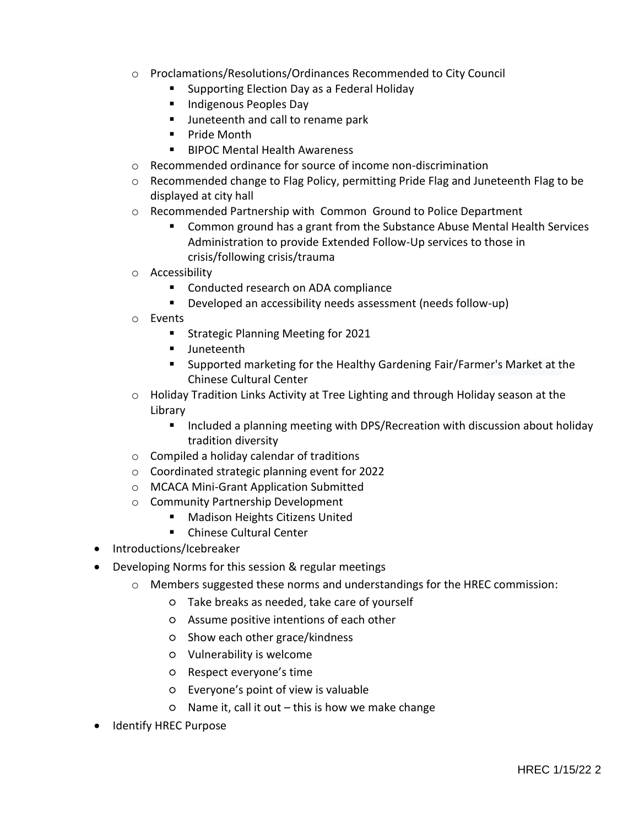- o Proclamations/Resolutions/Ordinances Recommended to City Council
	- Supporting Election Day as a Federal Holiday
	- **Indigenous Peoples Day**
	- **Juneteenth and call to rename park**
	- **Pride Month**
	- BIPOC Mental Health Awareness
- o Recommended ordinance for source of income non-discrimination
- o Recommended change to Flag Policy, permitting Pride Flag and Juneteenth Flag to be displayed at city hall
- o Recommended Partnership with Common Ground to Police Department
	- **Common ground has a grant from the Substance Abuse Mental Health Services** Administration to provide Extended Follow-Up services to those in crisis/following crisis/trauma
- o Accessibility
	- **EXECONDUCTED FIGURE COMPLEM** Conducted research on ADA compliance
	- Developed an accessibility needs assessment (needs follow-up)
- o Events
	- **Strategic Planning Meeting for 2021**
	- **Juneteenth**
	- Supported marketing for the Healthy Gardening Fair/Farmer's Market at the Chinese Cultural Center
- $\circ$  Holiday Tradition Links Activity at Tree Lighting and through Holiday season at the Library
	- **Included a planning meeting with DPS/Recreation with discussion about holiday** tradition diversity
- o Compiled a holiday calendar of traditions
- o Coordinated strategic planning event for 2022
- o MCACA Mini-Grant Application Submitted
- o Community Partnership Development
	- Madison Heights Citizens United
	- Chinese Cultural Center
- Introductions/Icebreaker
- Developing Norms for this session & regular meetings
	- o Members suggested these norms and understandings for the HREC commission:
		- Take breaks as needed, take care of yourself
		- Assume positive intentions of each other
		- Show each other grace/kindness
		- Vulnerability is welcome
		- Respect everyone's time
		- Everyone's point of view is valuable
		- $\circ$  Name it, call it out this is how we make change
- Identify HREC Purpose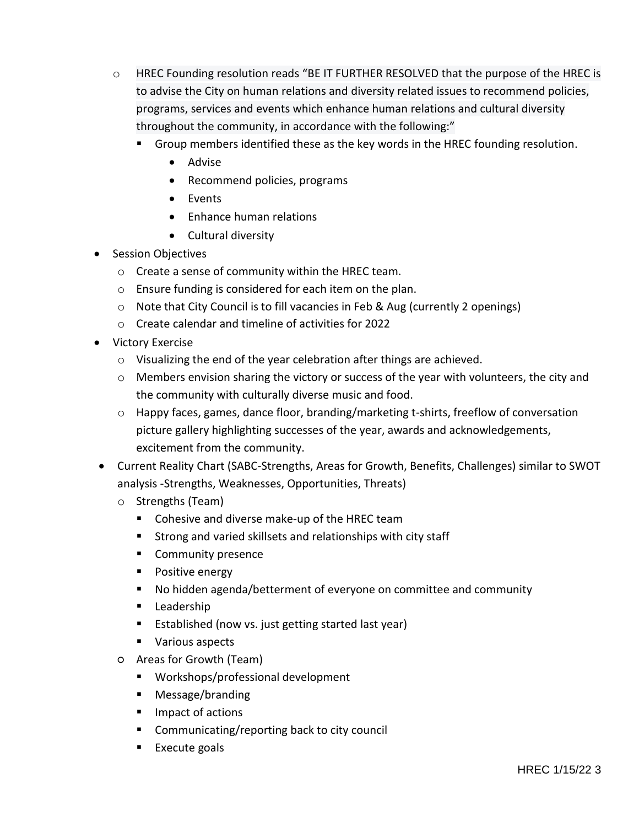- o HREC Founding resolution reads "BE IT FURTHER RESOLVED that the purpose of the HREC is to advise the City on human relations and diversity related issues to recommend policies, programs, services and events which enhance human relations and cultural diversity throughout the community, in accordance with the following:"
	- Group members identified these as the key words in the HREC founding resolution.
		- Advise
		- Recommend policies, programs
		- Events
		- Enhance human relations
		- Cultural diversity
- Session Objectives
	- o Create a sense of community within the HREC team.
	- o Ensure funding is considered for each item on the plan.
	- o Note that City Council is to fill vacancies in Feb & Aug (currently 2 openings)
	- o Create calendar and timeline of activities for 2022
- Victory Exercise
	- o Visualizing the end of the year celebration after things are achieved.
	- o Members envision sharing the victory or success of the year with volunteers, the city and the community with culturally diverse music and food.
	- o Happy faces, games, dance floor, branding/marketing t-shirts, freeflow of conversation picture gallery highlighting successes of the year, awards and acknowledgements, excitement from the community.
- Current Reality Chart (SABC-Strengths, Areas for Growth, Benefits, Challenges) similar to SWOT analysis -Strengths, Weaknesses, Opportunities, Threats)
	- o Strengths (Team)
		- **Cohesive and diverse make-up of the HREC team**
		- **Strong and varied skillsets and relationships with city staff**
		- **Community presence**
		- **Positive energy**
		- No hidden agenda/betterment of everyone on committee and community
		- **Leadership**
		- Established (now vs. just getting started last year)
		- **Various aspects**
	- Areas for Growth (Team)
		- Workshops/professional development
		- **Message/branding**
		- Impact of actions
		- Communicating/reporting back to city council
		- $\blacksquare$  Execute goals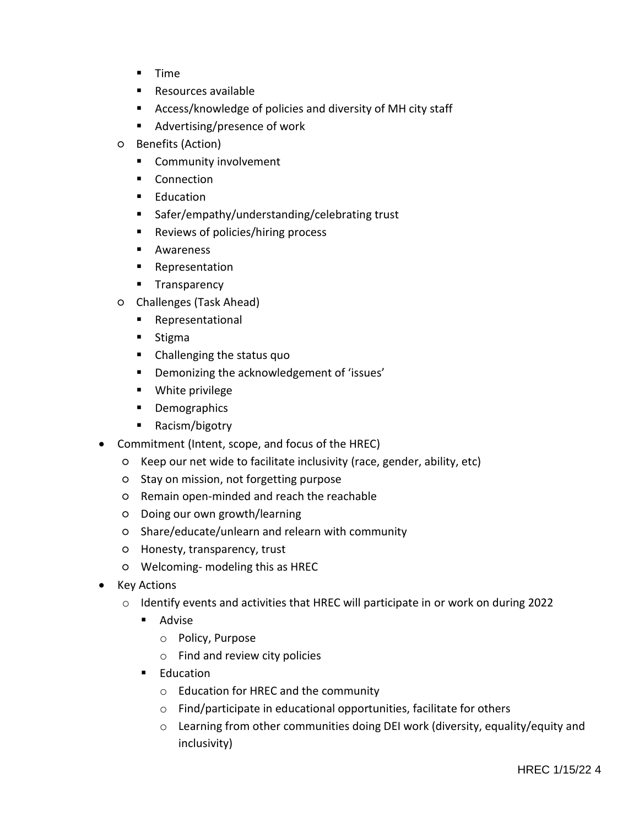- $I$  Time
- Resources available
- Access/knowledge of policies and diversity of MH city staff
- Advertising/presence of work
- Benefits (Action)
	- **EXECOMMUNITY Involvement**
	- **Connection**
	- **Education**
	- Safer/empathy/understanding/celebrating trust
	- Reviews of policies/hiring process
	- **Awareness**
	- **Representation**
	- **Transparency**
- Challenges (Task Ahead)
	- **Representational**
	- **Stigma**
	- Challenging the status quo
	- **•** Demonizing the acknowledgement of 'issues'
	- **Nhite privilege**
	- **Demographics**
	- Racism/bigotry
- Commitment (Intent, scope, and focus of the HREC)
	- Keep our net wide to facilitate inclusivity (race, gender, ability, etc)
	- Stay on mission, not forgetting purpose
	- Remain open-minded and reach the reachable
	- Doing our own growth/learning
	- Share/educate/unlearn and relearn with community
	- Honesty, transparency, trust
	- Welcoming- modeling this as HREC
- Key Actions
	- o Identify events and activities that HREC will participate in or work on during 2022
		- **Advise** 
			- o Policy, Purpose
			- o Find and review city policies
		- **Education** 
			- o Education for HREC and the community
			- o Find/participate in educational opportunities, facilitate for others
			- o Learning from other communities doing DEI work (diversity, equality/equity and inclusivity)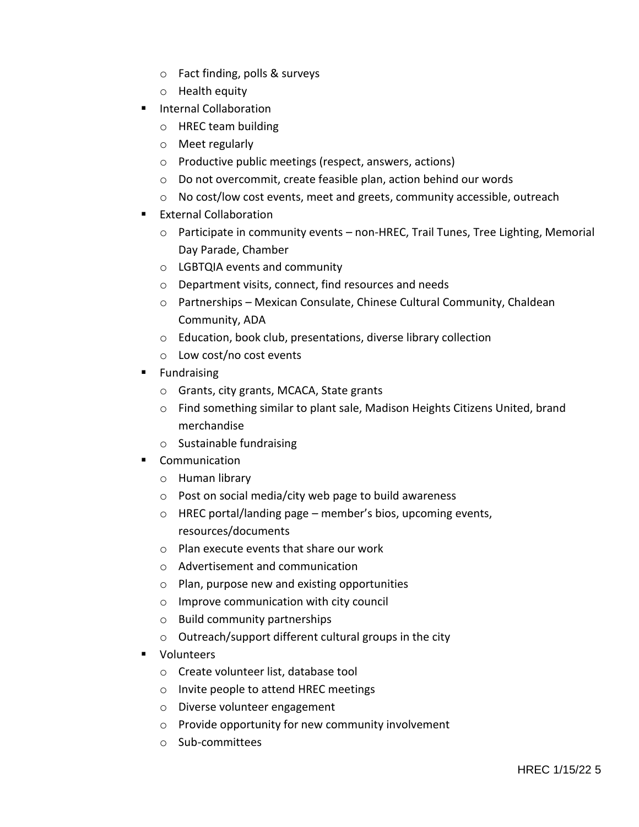- o Fact finding, polls & surveys
- o Health equity
- **Internal Collaboration** 
	- o HREC team building
	- o Meet regularly
	- o Productive public meetings (respect, answers, actions)
	- o Do not overcommit, create feasible plan, action behind our words
	- $\circ$  No cost/low cost events, meet and greets, community accessible, outreach
- External Collaboration
	- $\circ$  Participate in community events non-HREC, Trail Tunes, Tree Lighting, Memorial Day Parade, Chamber
	- o LGBTQIA events and community
	- o Department visits, connect, find resources and needs
	- $\circ$  Partnerships Mexican Consulate, Chinese Cultural Community, Chaldean Community, ADA
	- o Education, book club, presentations, diverse library collection
	- o Low cost/no cost events
- **Fundraising** 
	- o Grants, city grants, MCACA, State grants
	- o Find something similar to plant sale, Madison Heights Citizens United, brand merchandise
	- o Sustainable fundraising
- **E** Communication
	- o Human library
	- o Post on social media/city web page to build awareness
	- o HREC portal/landing page member's bios, upcoming events, resources/documents
	- o Plan execute events that share our work
	- o Advertisement and communication
	- o Plan, purpose new and existing opportunities
	- o Improve communication with city council
	- o Build community partnerships
	- o Outreach/support different cultural groups in the city
- **volunteers** 
	- o Create volunteer list, database tool
	- o Invite people to attend HREC meetings
	- o Diverse volunteer engagement
	- o Provide opportunity for new community involvement
	- o Sub-committees